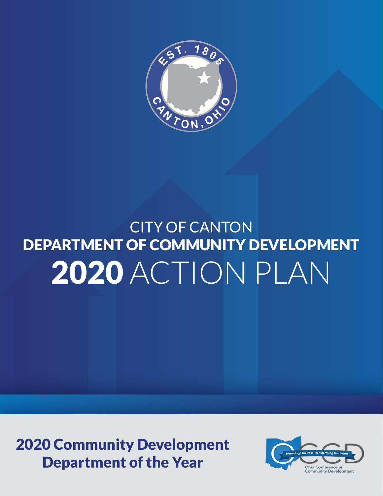

## CITY OF CANTON DEPARTMENT OF COMMUNITY DEVELOPMENT 2020 ACTION PLAN

2020 Community Development Department of the Year

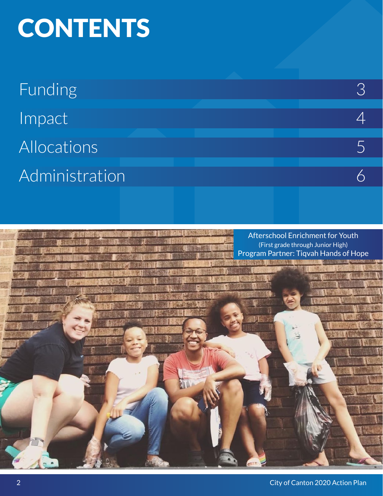# **CONTENTS**

| <b>Funding</b> |  |  |  |
|----------------|--|--|--|
| Impact         |  |  |  |
| Allocations    |  |  |  |
| Administration |  |  |  |
|                |  |  |  |

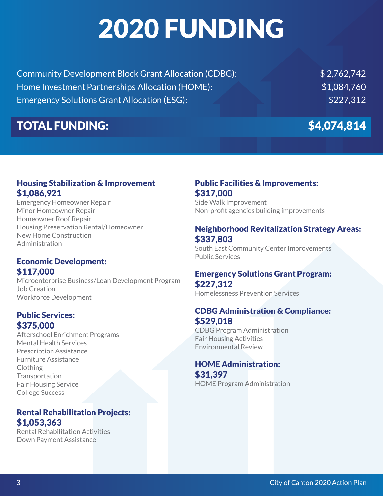# 2020 FUNDING

Community Development Block Grant Allocation (CDBG): \$ 2,762,742 Home Investment Partnerships Allocation (HOME):  $$1,084,760$ Emergency Solutions Grant Allocation (ESG): \$227,312

### TOTAL FUNDING: \$4,074,814

#### Housing Stabilization & Improvement \$1,086,921

Emergency Homeowner Repair Minor Homeowner Repair Homeowner Roof Repair Housing Preservation Rental/Homeowner New Home Construction Administration

#### Economic Development: \$117,000

Microenterprise Business/Loan Development Program Job Creation Workforce Development

#### Public Services: \$375,000

Afterschool Enrichment Programs Mental Health Services Prescription Assistance Furniture Assistance Clothing **Transportation** Fair Housing Service College Success

#### Rental Rehabilitation Projects: \$1,053,363

Rental Rehabilitation Activities Down Payment Assistance

#### Public Facilities & Improvements: \$317,000

Side Walk Improvement Non-profit agencies building improvements

#### Neighborhood Revitalization Strategy Areas: \$337,803

South East Community Center Improvements Public Services

#### Emergency Solutions Grant Program: \$227,312

Homelessness Prevention Services

#### CDBG Administration & Compliance: \$529,018

CDBG Program Administration Fair Housing Activities Environmental Review

### HOME Administration:

\$31,397 HOME Program Administration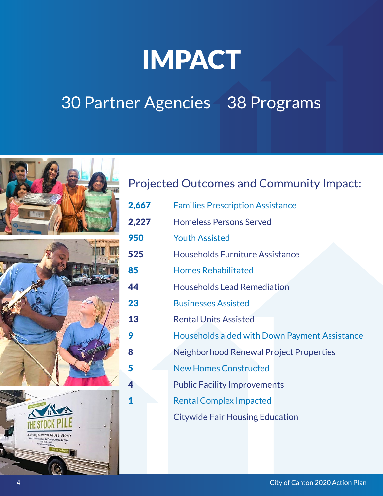## IMPACT

### 30 Partner Agencies 38 Programs



### Projected Outcomes and Community Impact:

2,667 Families Prescription Assistance 2,227 Homeless Persons Served 950 Youth Assisted 525 Households Furniture Assistance 85 Homes Rehabilitated 44 Households Lead Remediation 23 Businesses Assisted 13 Rental Units Assisted **9 Households aided with Down Payment Assistance** 8 **8** Neighborhood Renewal Project Properties 5 New Homes Constructed 4 Public Facility Improvements 1 **1** Rental Complex Impacted Citywide Fair Housing Education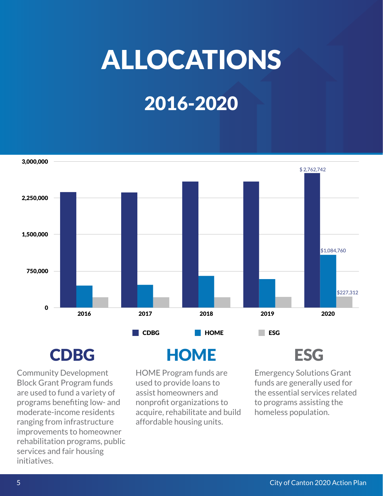# ALLOCATIONS

## 2016-2020



Community Development Block Grant Program funds are used to fund a variety of programs benefiting low- and moderate-income residents ranging from infrastructure improvements to homeowner rehabilitation programs, public services and fair housing initiatives.

### CDBG HOME ESG

HOME Program funds are used to provide loans to assist homeowners and nonprofit organizations to acquire, rehabilitate and build affordable housing units.

Emergency Solutions Grant funds are generally used for the essential services related to programs assisting the homeless population.